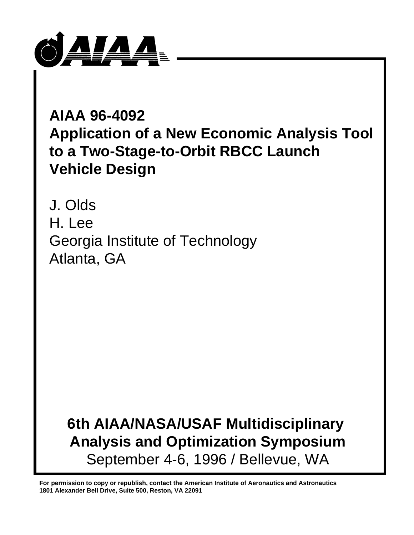

# **AIAA 96-4092 Application of a New Economic Analysis Tool to a Two-Stage-to-Orbit RBCC Launch Vehicle Design**

J. Olds H. Lee Georgia Institute of Technology Atlanta, GA

# **6th AIAA/NASA/USAF Multidisciplinary Analysis and Optimization Symposium** September 4-6, 1996 / Bellevue, WA

**For permission to copy or republish, contact the American Institute of Aeronautics and Astronautics 1801 Alexander Bell Drive, Suite 500, Reston, VA 22091**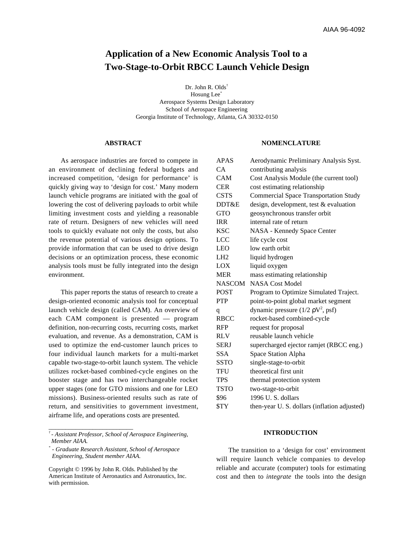# **Application of a New Economic Analysis Tool to a Two-Stage-to-Orbit RBCC Launch Vehicle Design**

Dr. John R. Olds<sup>†</sup> Hosung Lee<sup>\*</sup> Aerospace Systems Design Laboratory School of Aerospace Engineering Georgia Institute of Technology, Atlanta, GA 30332-0150

#### **ABSTRACT**

As aerospace industries are forced to compete in an environment of declining federal budgets and increased competition, 'design for performance' is quickly giving way to 'design for cost.' Many modern launch vehicle programs are initiated with the goal of lowering the cost of delivering payloads to orbit while limiting investment costs and yielding a reasonable rate of return. Designers of new vehicles will need tools to quickly evaluate not only the costs, but also the revenue potential of various design options. To provide information that can be used to drive design decisions or an optimization process, these economic analysis tools must be fully integrated into the design environment.

This paper reports the status of research to create a design-oriented economic analysis tool for conceptual launch vehicle design (called CAM). An overview of each CAM component is presented — program definition, non-recurring costs, recurring costs, market evaluation, and revenue. As a demonstration, CAM is used to optimize the end-customer launch prices to four individual launch markets for a multi-market capable two-stage-to-orbit launch system. The vehicle utilizes rocket-based combined-cycle engines on the booster stage and has two interchangeable rocket upper stages (one for GTO missions and one for LEO missions). Business-oriented results such as rate of return, and sensitivities to government investment, airframe life, and operations costs are presented.

\_\_\_\_\_\_\_\_\_\_\_\_\_\_\_\_\_\_\_\_\_\_\_\_\_

#### **NOMENCLATURE**

| <b>APAS</b>   | Aerodynamic Preliminary Analysis Syst.        |
|---------------|-----------------------------------------------|
| CA            | contributing analysis                         |
| CAM           | Cost Analysis Module (the current tool)       |
| <b>CER</b>    | cost estimating relationship                  |
| <b>CSTS</b>   | <b>Commercial Space Transportation Study</b>  |
| DDT&E         | design, development, test & evaluation        |
| <b>GTO</b>    | geosynchronous transfer orbit                 |
| <b>IRR</b>    | internal rate of return                       |
| <b>KSC</b>    | NASA - Kennedy Space Center                   |
| <b>LCC</b>    | life cycle cost                               |
| <b>LEO</b>    | low earth orbit                               |
| LH2           | liquid hydrogen                               |
| LOX           | liquid oxygen                                 |
| <b>MER</b>    | mass estimating relationship                  |
| <b>NASCOM</b> | <b>NASA Cost Model</b>                        |
| <b>POST</b>   | Program to Optimize Simulated Traject.        |
| <b>PTP</b>    | point-to-point global market segment          |
| q             | dynamic pressure $(1/2 \rho V^2, \text{psf})$ |
| <b>RBCC</b>   | rocket-based combined-cycle                   |
| <b>RFP</b>    | request for proposal                          |
| <b>RLV</b>    | reusable launch vehicle                       |
| <b>SERJ</b>   | supercharged ejector ramjet (RBCC eng.)       |
| <b>SSA</b>    | Space Station Alpha                           |
| <b>SSTO</b>   | single-stage-to-orbit                         |
| <b>TFU</b>    | theoretical first unit                        |
| <b>TPS</b>    | thermal protection system                     |
| <b>TSTO</b>   | two-stage-to-orbit                            |
| \$96          | 1996 U.S. dollars                             |
| \$TY          | then-year U.S. dollars (inflation adjusted)   |

#### **INTRODUCTION**

The transition to a 'design for cost' environment will require launch vehicle companies to develop reliable and accurate (computer) tools for estimating cost and then to *integrate* the tools into the design

*<sup>†</sup> - Assistant Professor, School of Aerospace Engineering, Member AIAA.*

*<sup>\*</sup> - Graduate Research Assistant, School of Aerospace Engineering, Student member AIAA.*

Copyright © 1996 by John R. Olds. Published by the American Institute of Aeronautics and Astronautics, Inc. with permission.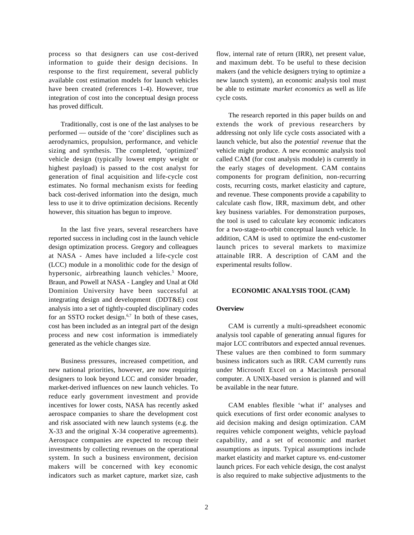process so that designers can use cost-derived information to guide their design decisions. In response to the first requirement, several publicly available cost estimation models for launch vehicles have been created (references 1-4). However, true integration of cost into the conceptual design process has proved difficult.

Traditionally, cost is one of the last analyses to be performed — outside of the 'core' disciplines such as aerodynamics, propulsion, performance, and vehicle sizing and synthesis. The completed, 'optimized' vehicle design (typically lowest empty weight or highest payload) is passed to the cost analyst for generation of final acquisition and life-cycle cost estimates. No formal mechanism exists for feeding back cost-derived information into the design, much less to use it to drive optimization decisions. Recently however, this situation has begun to improve.

In the last five years, several researchers have reported success in including cost in the launch vehicle design optimization process. Gregory and colleagues at NASA - Ames have included a life-cycle cost (LCC) module in a monolithic code for the design of hypersonic, airbreathing launch vehicles.<sup>5</sup> Moore, Braun, and Powell at NASA - Langley and Unal at Old Dominion University have been successful at integrating design and development (DDT&E) cost analysis into a set of tightly-coupled disciplinary codes for an SSTO rocket design. $6,7$  In both of these cases, cost has been included as an integral part of the design process and new cost information is immediately generated as the vehicle changes size.

Business pressures, increased competition, and new national priorities, however, are now requiring designers to look beyond LCC and consider broader, market-derived influences on new launch vehicles. To reduce early government investment and provide incentives for lower costs, NASA has recently asked aerospace companies to share the development cost and risk associated with new launch systems (e.g. the X-33 and the original X-34 cooperative agreements). Aerospace companies are expected to recoup their investments by collecting revenues on the operational system. In such a business environment, decision makers will be concerned with key economic indicators such as market capture, market size, cash

flow, internal rate of return (IRR), net present value, and maximum debt. To be useful to these decision makers (and the vehicle designers trying to optimize a new launch system), an economic analysis tool must be able to estimate *market economics* as well as life cycle costs.

The research reported in this paper builds on and extends the work of previous researchers by addressing not only life cycle costs associated with a launch vehicle, but also the *potential revenue* that the vehicle might produce. A new economic analysis tool called CAM (for cost analysis module) is currently in the early stages of development. CAM contains components for program definition, non-recurring costs, recurring costs, market elasticity and capture, and revenue. These components provide a capability to calculate cash flow, IRR, maximum debt, and other key business variables. For demonstration purposes, the tool is used to calculate key economic indicators for a two-stage-to-orbit conceptual launch vehicle. In addition, CAM is used to optimize the end-customer launch prices to several markets to maximize attainable IRR. A description of CAM and the experimental results follow.

#### **ECONOMIC ANALYSIS TOOL (CAM)**

# **Overview**

CAM is currently a multi-spreadsheet economic analysis tool capable of generating annual figures for major LCC contributors and expected annual revenues. These values are then combined to form summary business indicators such as IRR. CAM currently runs under Microsoft Excel on a Macintosh personal computer. A UNIX-based version is planned and will be available in the near future.

CAM enables flexible 'what if' analyses and quick executions of first order economic analyses to aid decision making and design optimization. CAM requires vehicle component weights, vehicle payload capability, and a set of economic and market assumptions as inputs. Typical assumptions include market elasticity and market capture vs. end-customer launch prices. For each vehicle design, the cost analyst is also required to make subjective adjustments to the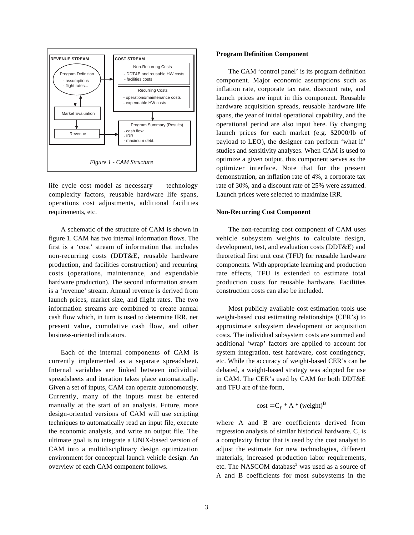

life cycle cost model as necessary — technology complexity factors, reusable hardware life spans, operations cost adjustments, additional facilities requirements, etc.

A schematic of the structure of CAM is shown in figure 1. CAM has two internal information flows. The first is a 'cost' stream of information that includes non-recurring costs (DDT&E, reusable hardware production, and facilities construction) and recurring costs (operations, maintenance, and expendable hardware production). The second information stream is a 'revenue' stream. Annual revenue is derived from launch prices, market size, and flight rates. The two information streams are combined to create annual cash flow which, in turn is used to determine IRR, net present value, cumulative cash flow, and other business-oriented indicators.

Each of the internal components of CAM is currently implemented as a separate spreadsheet. Internal variables are linked between individual spreadsheets and iteration takes place automatically. Given a set of inputs, CAM can operate autonomously. Currently, many of the inputs must be entered manually at the start of an analysis. Future, more design-oriented versions of CAM will use scripting techniques to automatically read an input file, execute the economic analysis, and write an output file. The ultimate goal is to integrate a UNIX-based version of CAM into a multidisciplinary design optimization environment for conceptual launch vehicle design. An overview of each CAM component follows.

#### **Program Definition Component**

The CAM 'control panel' is its program definition component. Major economic assumptions such as inflation rate, corporate tax rate, discount rate, and launch prices are input in this component. Reusable hardware acquisition spreads, reusable hardware life spans, the year of initial operational capability, and the operational period are also input here. By changing launch prices for each market (e.g. \$2000/lb of payload to LEO), the designer can perform 'what if' studies and sensitivity analyses. When CAM is used to optimize a given output, this component serves as the optimizer interface. Note that for the present demonstration, an inflation rate of 4%, a corporate tax rate of 30%, and a discount rate of 25% were assumed. Launch prices were selected to maximize IRR.

## **Non-Recurring Cost Component**

The non-recurring cost component of CAM uses vehicle subsystem weights to calculate design, development, test, and evaluation costs (DDT&E) and theoretical first unit cost (TFU) for reusable hardware components. With appropriate learning and production rate effects, TFU is extended to estimate total production costs for reusable hardware. Facilities construction costs can also be included.

Most publicly available cost estimation tools use weight-based cost estimating relationships (CER's) to approximate subsystem development or acquisition costs. The individual subsystem costs are summed and additional 'wrap' factors are applied to account for system integration, test hardware, cost contingency, etc. While the accuracy of weight-based CER's can be debated, a weight-based strategy was adopted for use in CAM. The CER's used by CAM for both DDT&E and TFU are of the form,

$$
cost = C_f * A * (weight)^B
$$

where A and B are coefficients derived from regression analysis of similar historical hardware.  $C_f$  is a complexity factor that is used by the cost analyst to adjust the estimate for new technologies, different materials, increased production labor requirements, etc. The NASCOM database<sup>2</sup> was used as a source of A and B coefficients for most subsystems in the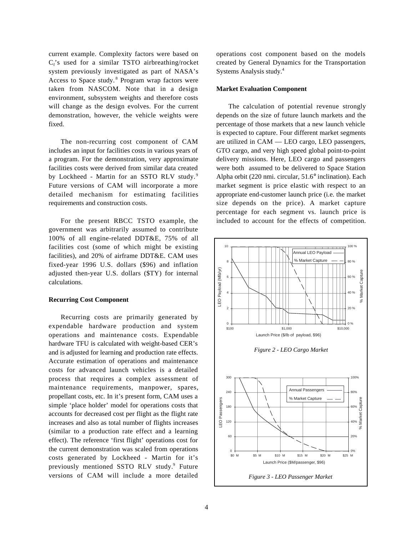current example. Complexity factors were based on  $C_f$ 's used for a similar TSTO airbreathing/rocket system previously investigated as part of NASA's Access to Space study.<sup>8</sup> Program wrap factors were taken from NASCOM. Note that in a design environment, subsystem weights and therefore costs will change as the design evolves. For the current demonstration, however, the vehicle weights were fixed.

The non-recurring cost component of CAM includes an input for facilities costs in various years of a program. For the demonstration, very approximate facilities costs were derived from similar data created by Lockheed - Martin for an SSTO RLV study.<sup>9</sup> Future versions of CAM will incorporate a more detailed mechanism for estimating facilities requirements and construction costs.

For the present RBCC TSTO example, the government was arbitrarily assumed to contribute 100% of all engine-related DDT&E, 75% of all facilities cost (some of which might be existing facilities), and 20% of airframe DDT&E. CAM uses fixed-year 1996 U.S. dollars (\$96) and inflation adjusted then-year U.S. dollars (\$TY) for internal calculations.

#### **Recurring Cost Component**

Recurring costs are primarily generated by expendable hardware production and system operations and maintenance costs. Expendable hardware TFU is calculated with weight-based CER's and is adjusted for learning and production rate effects. Accurate estimation of operations and maintenance costs for advanced launch vehicles is a detailed process that requires a complex assessment of maintenance requirements, manpower, spares, propellant costs, etc. In it's present form, CAM uses a simple 'place holder' model for operations costs that accounts for decreased cost per flight as the flight rate increases and also as total number of flights increases (similar to a production rate effect and a learning effect). The reference 'first flight' operations cost for the current demonstration was scaled from operations costs generated by Lockheed - Martin for it's previously mentioned SSTO RLV study.<sup>9</sup> Future versions of CAM will include a more detailed

operations cost component based on the models created by General Dynamics for the Transportation Systems Analysis study.4

#### **Market Evaluation Component**

The calculation of potential revenue strongly depends on the size of future launch markets and the percentage of those markets that a new launch vehicle is expected to capture. Four different market segments are utilized in CAM — LEO cargo, LEO passengers, GTO cargo, and very high speed global point-to-point delivery missions. Here, LEO cargo and passengers were both assumed to be delivered to Space Station Alpha orbit (220 nmi. circular, 51.6° inclination). Each market segment is price elastic with respect to an appropriate end-customer launch price (i.e. the market size depends on the price). A market capture percentage for each segment vs. launch price is included to account for the effects of competition.

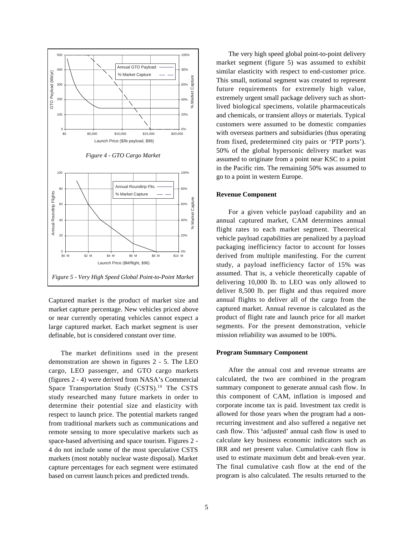

Captured market is the product of market size and market capture percentage. New vehicles priced above or near currently operating vehicles cannot expect a large captured market. Each market segment is user definable, but is considered constant over time.

The market definitions used in the present demonstration are shown in figures 2 - 5. The LEO cargo, LEO passenger, and GTO cargo markets (figures 2 - 4) were derived from NASA's Commercial Space Transportation Study (CSTS).<sup>10</sup> The CSTS study researched many future markets in order to determine their potential size and elasticity with respect to launch price. The potential markets ranged from traditional markets such as communications and remote sensing to more speculative markets such as space-based advertising and space tourism. Figures 2 - 4 do not include some of the most speculative CSTS markets (most notably nuclear waste disposal). Market capture percentages for each segment were estimated based on current launch prices and predicted trends.

The very high speed global point-to-point delivery market segment (figure 5) was assumed to exhibit similar elasticity with respect to end-customer price. This small, notional segment was created to represent future requirements for extremely high value, extremely urgent small package delivery such as shortlived biological specimens, volatile pharmaceuticals and chemicals, or transient alloys or materials. Typical customers were assumed to be domestic companies with overseas partners and subsidiaries (thus operating from fixed, predetermined city pairs or 'PTP ports'). 50% of the global hypersonic delivery market was assumed to originate from a point near KSC to a point in the Pacific rim. The remaining 50% was assumed to go to a point in western Europe.

## **Revenue Component**

For a given vehicle payload capability and an annual captured market, CAM determines annual flight rates to each market segment. Theoretical vehicle payload capabilities are penalized by a payload packaging inefficiency factor to account for losses derived from multiple manifesting. For the current study, a payload inefficiency factor of 15% was assumed. That is, a vehicle theoretically capable of delivering 10,000 lb. to LEO was only allowed to deliver 8,500 lb. per flight and thus required more annual flights to deliver all of the cargo from the captured market. Annual revenue is calculated as the product of flight rate and launch price for all market segments. For the present demonstration, vehicle mission reliability was assumed to be 100%.

# **Program Summary Component**

After the annual cost and revenue streams are calculated, the two are combined in the program summary component to generate annual cash flow. In this component of CAM, inflation is imposed and corporate income tax is paid. Investment tax credit is allowed for those years when the program had a nonrecurring investment and also suffered a negative net cash flow. This 'adjusted' annual cash flow is used to calculate key business economic indicators such as IRR and net present value. Cumulative cash flow is used to estimate maximum debt and break-even year. The final cumulative cash flow at the end of the program is also calculated. The results returned to the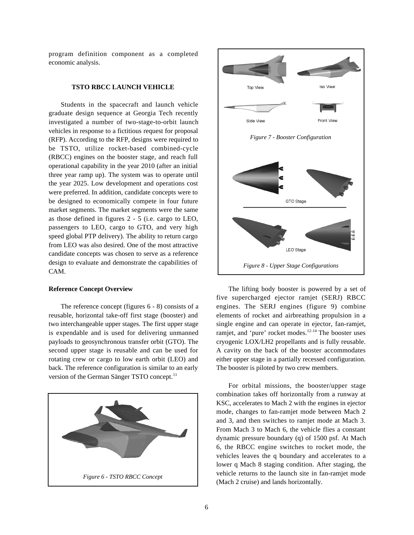program definition component as a completed economic analysis.

# **TSTO RBCC LAUNCH VEHICLE**

Students in the spacecraft and launch vehicle graduate design sequence at Georgia Tech recently investigated a number of two-stage-to-orbit launch vehicles in response to a fictitious request for proposal (RFP). According to the RFP, designs were required to be TSTO, utilize rocket-based combined-cycle (RBCC) engines on the booster stage, and reach full operational capability in the year 2010 (after an initial three year ramp up). The system was to operate until the year 2025. Low development and operations cost were preferred. In addition, candidate concepts were to be designed to economically compete in four future market segments. The market segments were the same as those defined in figures 2 - 5 (i.e. cargo to LEO, passengers to LEO, cargo to GTO, and very high speed global PTP delivery). The ability to return cargo from LEO was also desired. One of the most attractive candidate concepts was chosen to serve as a reference design to evaluate and demonstrate the capabilities of CAM.

# **Reference Concept Overview**

The reference concept (figures 6 - 8) consists of a reusable, horizontal take-off first stage (booster) and two interchangeable upper stages. The first upper stage is expendable and is used for delivering unmanned payloads to geosynchronous transfer orbit (GTO). The second upper stage is reusable and can be used for rotating crew or cargo to low earth orbit (LEO) and back. The reference configuration is similar to an early version of the German Sänger TSTO concept.<sup>11</sup>





The lifting body booster is powered by a set of five supercharged ejector ramjet (SERJ) RBCC engines. The SERJ engines (figure 9) combine elements of rocket and airbreathing propulsion in a single engine and can operate in ejector, fan-ramjet, ramjet, and 'pure' rocket modes. $12-14$  The booster uses cryogenic LOX/LH2 propellants and is fully reusable. A cavity on the back of the booster accommodates either upper stage in a partially recessed configuration. The booster is piloted by two crew members.

For orbital missions, the booster/upper stage combination takes off horizontally from a runway at KSC, accelerates to Mach 2 with the engines in ejector mode, changes to fan-ramjet mode between Mach 2 and 3, and then switches to ramjet mode at Mach 3. From Mach 3 to Mach 6, the vehicle flies a constant dynamic pressure boundary (q) of 1500 psf. At Mach 6, the RBCC engine switches to rocket mode, the vehicles leaves the q boundary and accelerates to a lower q Mach 8 staging condition. After staging, the vehicle returns to the launch site in fan-ramjet mode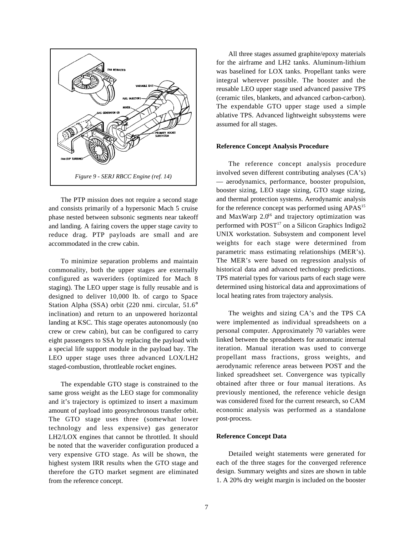

The PTP mission does not require a second stage and consists primarily of a hypersonic Mach 5 cruise phase nested between subsonic segments near takeoff and landing. A fairing covers the upper stage cavity to reduce drag. PTP payloads are small and are accommodated in the crew cabin.

To minimize separation problems and maintain commonality, both the upper stages are externally configured as waveriders (optimized for Mach 8 staging). The LEO upper stage is fully reusable and is designed to deliver 10,000 lb. of cargo to Space Station Alpha (SSA) orbit (220 nmi. circular, 51.6° inclination) and return to an unpowered horizontal landing at KSC. This stage operates autonomously (no crew or crew cabin), but can be configured to carry eight passengers to SSA by replacing the payload with a special life support module in the payload bay. The LEO upper stage uses three advanced LOX/LH2 staged-combustion, throttleable rocket engines.

The expendable GTO stage is constrained to the same gross weight as the LEO stage for commonality and it's trajectory is optimized to insert a maximum amount of payload into geosynchronous transfer orbit. The GTO stage uses three (somewhat lower technology and less expensive) gas generator LH2/LOX engines that cannot be throttled. It should be noted that the waverider configuration produced a very expensive GTO stage. As will be shown, the highest system IRR results when the GTO stage and therefore the GTO market segment are eliminated from the reference concept.

All three stages assumed graphite/epoxy materials for the airframe and LH2 tanks. Aluminum-lithium was baselined for LOX tanks. Propellant tanks were integral wherever possible. The booster and the reusable LEO upper stage used advanced passive TPS (ceramic tiles, blankets, and advanced carbon-carbon). The expendable GTO upper stage used a simple ablative TPS. Advanced lightweight subsystems were assumed for all stages.

# **Reference Concept Analysis Procedure**

The reference concept analysis procedure involved seven different contributing analyses (CA's) — aerodynamics, performance, booster propulsion, booster sizing, LEO stage sizing, GTO stage sizing, and thermal protection systems. Aerodynamic analysis for the reference concept was performed using APAS<sup>15</sup> and MaxWarp  $2.0^{16}$  and trajectory optimization was performed with  $POST^{17}$  on a Silicon Graphics Indigo2 UNIX workstation. Subsystem and component level weights for each stage were determined from parametric mass estimating relationships (MER's). The MER's were based on regression analysis of historical data and advanced technology predictions. TPS material types for various parts of each stage were determined using historical data and approximations of local heating rates from trajectory analysis.

The weights and sizing CA's and the TPS CA were implemented as individual spreadsheets on a personal computer. Approximately 70 variables were linked between the spreadsheets for automatic internal iteration. Manual iteration was used to converge propellant mass fractions, gross weights, and aerodynamic reference areas between POST and the linked spreadsheet set. Convergence was typically obtained after three or four manual iterations. As previously mentioned, the reference vehicle design was considered fixed for the current research, so CAM economic analysis was performed as a standalone post-process.

# **Reference Concept Data**

Detailed weight statements were generated for each of the three stages for the converged reference design. Summary weights and sizes are shown in table 1. A 20% dry weight margin is included on the booster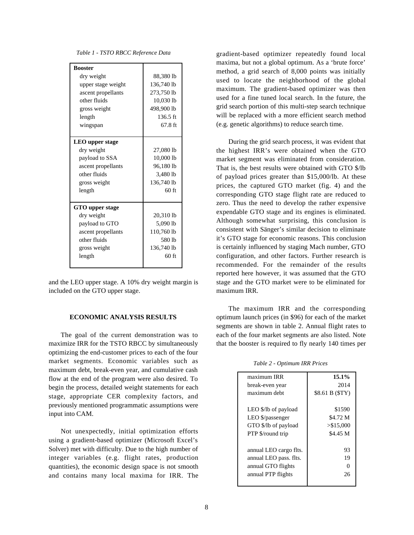*Table 1 - TSTO RBCC Reference Data*

| <b>Booster</b>         |                    |
|------------------------|--------------------|
| dry weight             | 88,380 lb          |
| upper stage weight     | 136,740 lb         |
| ascent propellants     | 273,750 lb         |
| other fluids           | 10,030 lb          |
| gross weight           | 498,900 lb         |
| length                 | $136.5 \text{ ft}$ |
| wingspan               | $67.8$ ft          |
|                        |                    |
| <b>LEO</b> upper stage |                    |
| dry weight             | 27,080 lb          |
| payload to SSA         | 10,000 lb          |
| ascent propellants     | 96,180 lb          |
| other fluids           | 3,480 lb           |
| gross weight           | 136,740 lb         |
| length                 | $60$ ft            |
|                        |                    |
| GTO upper stage        |                    |
| dry weight             | 20,310 lb          |
| payload to GTO         | 5,090 lb           |
| ascent propellants     | 110,760 lb         |
| other fluids           | 580 lb             |
| gross weight           | 136,740 lb         |
| length                 | $60$ ft            |
|                        |                    |

and the LEO upper stage. A 10% dry weight margin is included on the GTO upper stage.

#### **ECONOMIC ANALYSIS RESULTS**

The goal of the current demonstration was to maximize IRR for the TSTO RBCC by simultaneously optimizing the end-customer prices to each of the four market segments. Economic variables such as maximum debt, break-even year, and cumulative cash flow at the end of the program were also desired. To begin the process, detailed weight statements for each stage, appropriate CER complexity factors, and previously mentioned programmatic assumptions were input into CAM.

Not unexpectedly, initial optimization efforts using a gradient-based optimizer (Microsoft Excel's Solver) met with difficulty. Due to the high number of integer variables (e.g. flight rates, production quantities), the economic design space is not smooth and contains many local maxima for IRR. The gradient-based optimizer repeatedly found local maxima, but not a global optimum. As a 'brute force' method, a grid search of 8,000 points was initially used to locate the neighborhood of the global maximum. The gradient-based optimizer was then used for a fine tuned local search. In the future, the grid search portion of this multi-step search technique will be replaced with a more efficient search method (e.g. genetic algorithms) to reduce search time.

During the grid search process, it was evident that the highest IRR's were obtained when the GTO market segment was eliminated from consideration. That is, the best results were obtained with GTO \$/lb of payload prices greater than \$15,000/lb. At these prices, the captured GTO market (fig. 4) and the corresponding GTO stage flight rate are reduced to zero. Thus the need to develop the rather expensive expendable GTO stage and its engines is eliminated. Although somewhat surprising, this conclusion is consistent with Sänger's similar decision to eliminate it's GTO stage for economic reasons. This conclusion is certainly influenced by staging Mach number, GTO configuration, and other factors. Further research is recommended. For the remainder of the results reported here however, it was assumed that the GTO stage and the GTO market were to be eliminated for maximum IRR.

The maximum IRR and the corresponding optimum launch prices (in \$96) for each of the market segments are shown in table 2. Annual flight rates to each of the four market segments are also listed. Note that the booster is required to fly nearly 140 times per

*Table 2 - Optimum IRR Prices*

| maximum IRR            | $15.1\%$        |
|------------------------|-----------------|
| break-even year        | 2014            |
| maximum debt           | \$8.61 B (\$TY) |
|                        |                 |
| LEO \$/lb of payload   | \$1590          |
| LEO \$/passenger       | \$4.72 M        |
| GTO \$/lb of payload   | > \$15,000      |
| PTP \$/round trip      | \$4.45 M        |
|                        |                 |
| annual LEO cargo flts. | 93              |
| annual LEO pass. flts. | 19              |
| annual GTO flights     |                 |
| annual PTP flights     | 26              |
|                        |                 |
|                        |                 |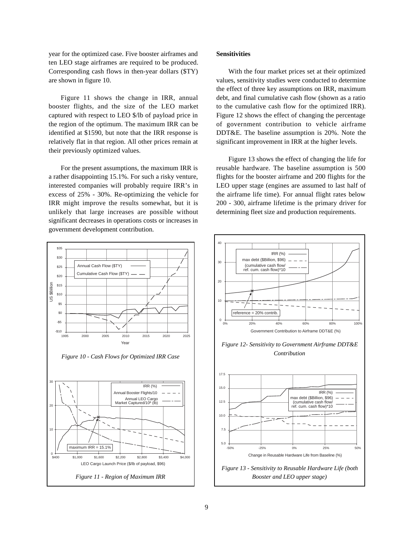year for the optimized case. Five booster airframes and ten LEO stage airframes are required to be produced. Corresponding cash flows in then-year dollars (\$TY) are shown in figure 10.

Figure 11 shows the change in IRR, annual booster flights, and the size of the LEO market captured with respect to LEO \$/lb of payload price in the region of the optimum. The maximum IRR can be identified at \$1590, but note that the IRR response is relatively flat in that region. All other prices remain at their previously optimized values.

For the present assumptions, the maximum IRR is a rather disappointing 15.1%. For such a risky venture, interested companies will probably require IRR's in excess of 25% - 30%. Re-optimizing the vehicle for IRR might improve the results somewhat, but it is unlikely that large increases are possible without significant decreases in operations costs or increases in government development contribution.



# **Sensitivities**

With the four market prices set at their optimized values, sensitivity studies were conducted to determine the effect of three key assumptions on IRR, maximum debt, and final cumulative cash flow (shown as a ratio to the cumulative cash flow for the optimized IRR). Figure 12 shows the effect of changing the percentage of government contribution to vehicle airframe DDT&E. The baseline assumption is 20%. Note the significant improvement in IRR at the higher levels.

Figure 13 shows the effect of changing the life for reusable hardware. The baseline assumption is 500 flights for the booster airframe and 200 flights for the LEO upper stage (engines are assumed to last half of the airframe life time). For annual flight rates below 200 - 300, airframe lifetime is the primary driver for determining fleet size and production requirements.

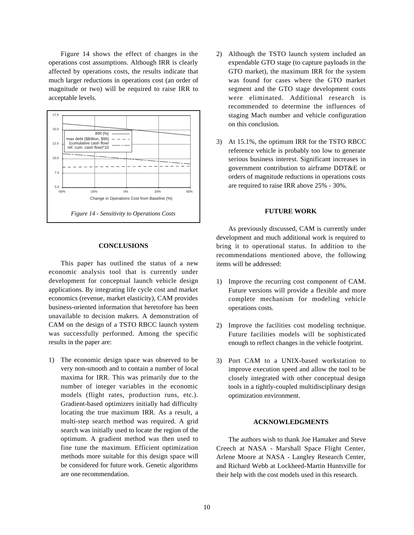Figure 14 shows the effect of changes in the operations cost assumptions. Although IRR is clearly affected by operations costs, the results indicate that much larger reductions in operations cost (an order of magnitude or two) will be required to raise IRR to acceptable levels.



# **CONCLUSIONS**

This paper has outlined the status of a new economic analysis tool that is currently under development for conceptual launch vehicle design applications. By integrating life cycle cost and market economics (revenue, market elasticity), CAM provides business-oriented information that heretofore has been unavailable to decision makers. A demonstration of CAM on the design of a TSTO RBCC launch system was successfully performed. Among the specific results in the paper are:

1) The economic design space was observed to be very non-smooth and to contain a number of local maxima for IRR. This was primarily due to the number of integer variables in the economic models (flight rates, production runs, etc.). Gradient-based optimizers initially had difficulty locating the true maximum IRR. As a result, a multi-step search method was required. A grid search was initially used to locate the region of the optimum. A gradient method was then used to fine tune the maximum. Efficient optimization methods more suitable for this design space will be considered for future work. Genetic algorithms are one recommendation.

- 2) Although the TSTO launch system included an expendable GTO stage (to capture payloads in the GTO market), the maximum IRR for the system was found for cases where the GTO market segment and the GTO stage development costs were eliminated. Additional research is recommended to determine the influences of staging Mach number and vehicle configuration on this conclusion.
- 3) At 15.1%, the optimum IRR for the TSTO RBCC reference vehicle is probably too low to generate serious business interest. Significant increases in government contribution to airframe DDT&E or orders of magnitude reductions in operations costs are required to raise IRR above 25% - 30%.

# **FUTURE WORK**

As previously discussed, CAM is currently under development and much additional work is required to bring it to operational status. In addition to the recommendations mentioned above, the following items will be addressed:

- 1) Improve the recurring cost component of CAM. Future versions will provide a flexible and more complete mechanism for modeling vehicle operations costs.
- 2) Improve the facilities cost modeling technique. Future facilities models will be sophisticated enough to reflect changes in the vehicle footprint.
- 3) Port CAM to a UNIX-based workstation to improve execution speed and allow the tool to be closely integrated with other conceptual design tools in a tightly-coupled multidisciplinary design optimization environment.

# **ACKNOWLEDGMENTS**

The authors wish to thank Joe Hamaker and Steve Creech at NASA - Marshall Space Flight Center, Arlene Moore at NASA - Langley Research Center, and Richard Webb at Lockheed-Martin Huntsville for their help with the cost models used in this research.